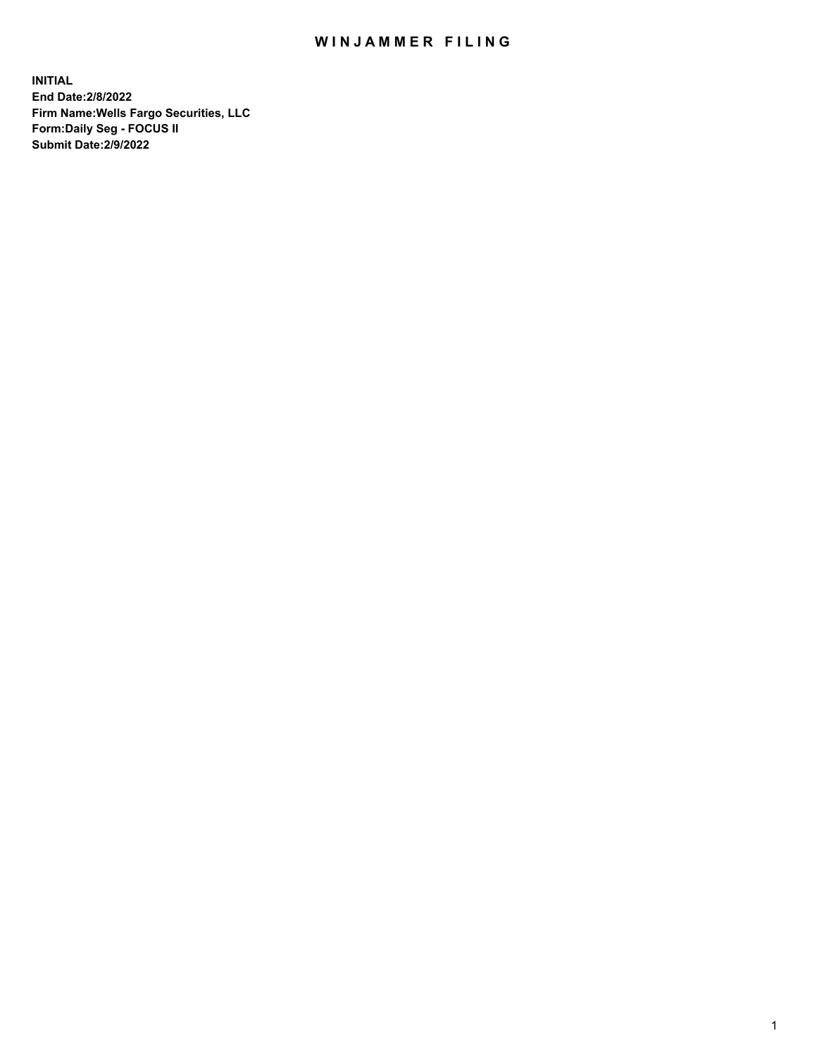## WIN JAMMER FILING

**INITIAL End Date:2/8/2022 Firm Name:Wells Fargo Securities, LLC Form:Daily Seg - FOCUS II Submit Date:2/9/2022**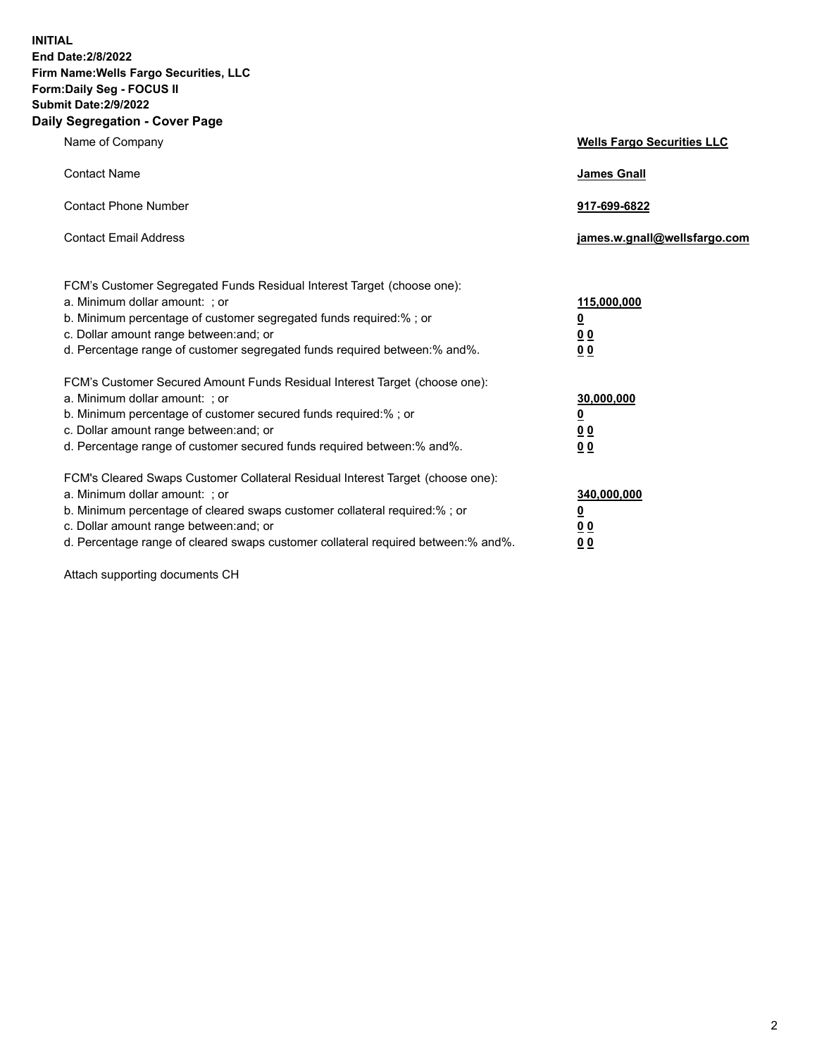**INITIAL End Date:2/8/2022 Firm Name:Wells Fargo Securities, LLC Form:Daily Seg - FOCUS II Submit Date:2/9/2022 Daily Segregation - Cover Page**

| Name of Company                                                                                                                                                                                                                                                                                                                | <b>Wells Fargo Securities LLC</b>              |
|--------------------------------------------------------------------------------------------------------------------------------------------------------------------------------------------------------------------------------------------------------------------------------------------------------------------------------|------------------------------------------------|
| <b>Contact Name</b>                                                                                                                                                                                                                                                                                                            | <b>James Gnall</b>                             |
| <b>Contact Phone Number</b>                                                                                                                                                                                                                                                                                                    | 917-699-6822                                   |
| <b>Contact Email Address</b>                                                                                                                                                                                                                                                                                                   | james.w.gnall@wellsfargo.com                   |
| FCM's Customer Segregated Funds Residual Interest Target (choose one):<br>a. Minimum dollar amount: ; or<br>b. Minimum percentage of customer segregated funds required:% ; or<br>c. Dollar amount range between: and; or                                                                                                      | 115,000,000<br><u>0</u><br>00                  |
| d. Percentage range of customer segregated funds required between:% and%.                                                                                                                                                                                                                                                      | 00                                             |
| FCM's Customer Secured Amount Funds Residual Interest Target (choose one):<br>a. Minimum dollar amount: ; or<br>b. Minimum percentage of customer secured funds required:%; or<br>c. Dollar amount range between: and; or<br>d. Percentage range of customer secured funds required between: % and %.                          | 30,000,000<br><u>0</u><br>00<br>0 <sub>0</sub> |
| FCM's Cleared Swaps Customer Collateral Residual Interest Target (choose one):<br>a. Minimum dollar amount: ; or<br>b. Minimum percentage of cleared swaps customer collateral required:% ; or<br>c. Dollar amount range between: and; or<br>d. Percentage range of cleared swaps customer collateral required between:% and%. | 340,000,000<br><u>0</u><br><u>00</u><br>00     |

Attach supporting documents CH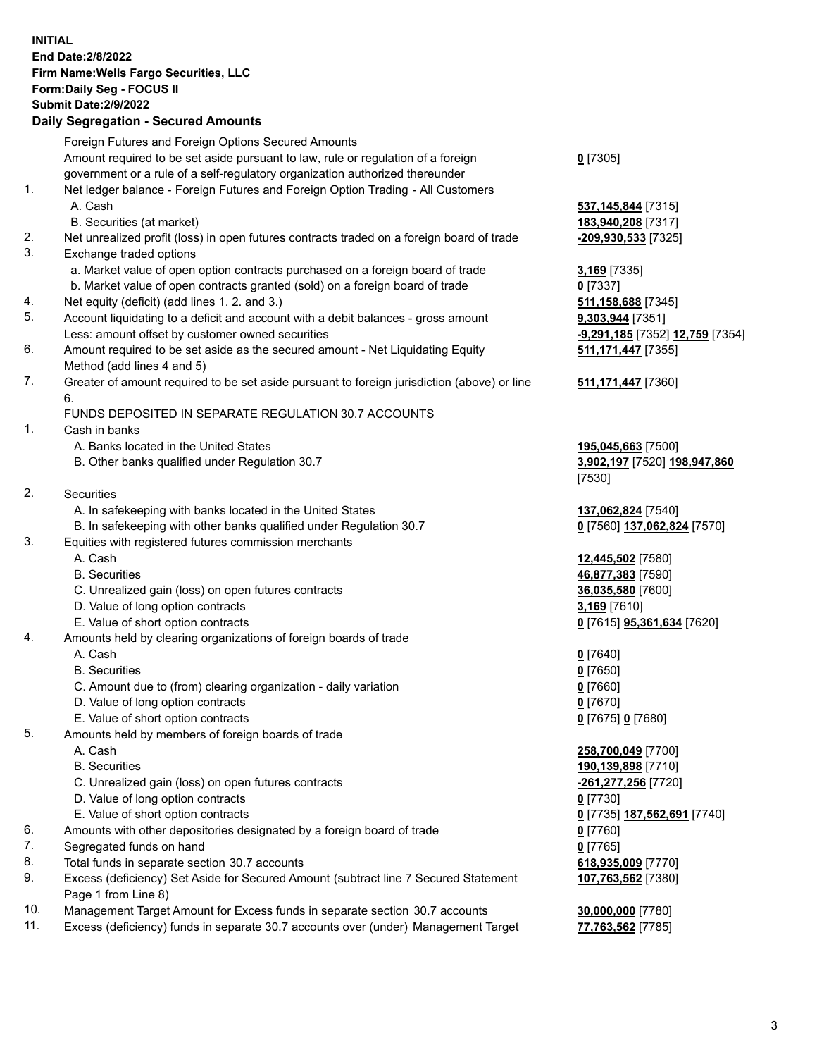**INITIAL End Date:2/8/2022 Firm Name:Wells Fargo Securities, LLC Form:Daily Seg - FOCUS II Submit Date:2/9/2022 Daily Segregation - Secured Amounts** Foreign Futures and Foreign Options Secured Amounts Amount required to be set aside pursuant to law, rule or regulation of a foreign government or a rule of a self-regulatory organization authorized thereunder **0** [7305] 1. Net ledger balance - Foreign Futures and Foreign Option Trading - All Customers A. Cash **537,145,844** [7315] B. Securities (at market) **183,940,208** [7317] 2. Net unrealized profit (loss) in open futures contracts traded on a foreign board of trade **-209,930,533** [7325] 3. Exchange traded options a. Market value of open option contracts purchased on a foreign board of trade **3,169** [7335] b. Market value of open contracts granted (sold) on a foreign board of trade **0** [7337] 4. Net equity (deficit) (add lines 1. 2. and 3.) **511,158,688** [7345] 5. Account liquidating to a deficit and account with a debit balances - gross amount **9,303,944** [7351] Less: amount offset by customer owned securities **-9,291,185** [7352] **12,759** [7354] 6. Amount required to be set aside as the secured amount - Net Liquidating Equity Method (add lines 4 and 5) **511,171,447** [7355] 7. Greater of amount required to be set aside pursuant to foreign jurisdiction (above) or line 6. **511,171,447** [7360] FUNDS DEPOSITED IN SEPARATE REGULATION 30.7 ACCOUNTS 1. Cash in banks A. Banks located in the United States **195,045,663** [7500] B. Other banks qualified under Regulation 30.7 **3,902,197** [7520] **198,947,860** [7530] 2. Securities A. In safekeeping with banks located in the United States **137,062,824** [7540] B. In safekeeping with other banks qualified under Regulation 30.7 **0** [7560] **137,062,824** [7570] 3. Equities with registered futures commission merchants A. Cash **12,445,502** [7580] B. Securities **46,877,383** [7590] C. Unrealized gain (loss) on open futures contracts **36,035,580** [7600] D. Value of long option contracts **3,169** [7610] E. Value of short option contracts **0** [7615] **95,361,634** [7620] 4. Amounts held by clearing organizations of foreign boards of trade A. Cash **0** [7640] B. Securities **0** [7650] C. Amount due to (from) clearing organization - daily variation **0** [7660] D. Value of long option contracts **0** [7670] E. Value of short option contracts **0** [7675] **0** [7680] 5. Amounts held by members of foreign boards of trade A. Cash **258,700,049** [7700] B. Securities **190,139,898** [7710] C. Unrealized gain (loss) on open futures contracts **-261,277,256** [7720] D. Value of long option contracts **0** [7730] E. Value of short option contracts **0** [7735] **187,562,691** [7740] 6. Amounts with other depositories designated by a foreign board of trade **0** [7760] 7. Segregated funds on hand **0** [7765] 8. Total funds in separate section 30.7 accounts **618,935,009** [7770] **107,763,562** [7380]

- 9. Excess (deficiency) Set Aside for Secured Amount (subtract line 7 Secured Statement Page 1 from Line 8)
- 10. Management Target Amount for Excess funds in separate section 30.7 accounts **30,000,000** [7780]
- 11. Excess (deficiency) funds in separate 30.7 accounts over (under) Management Target **77,763,562** [7785]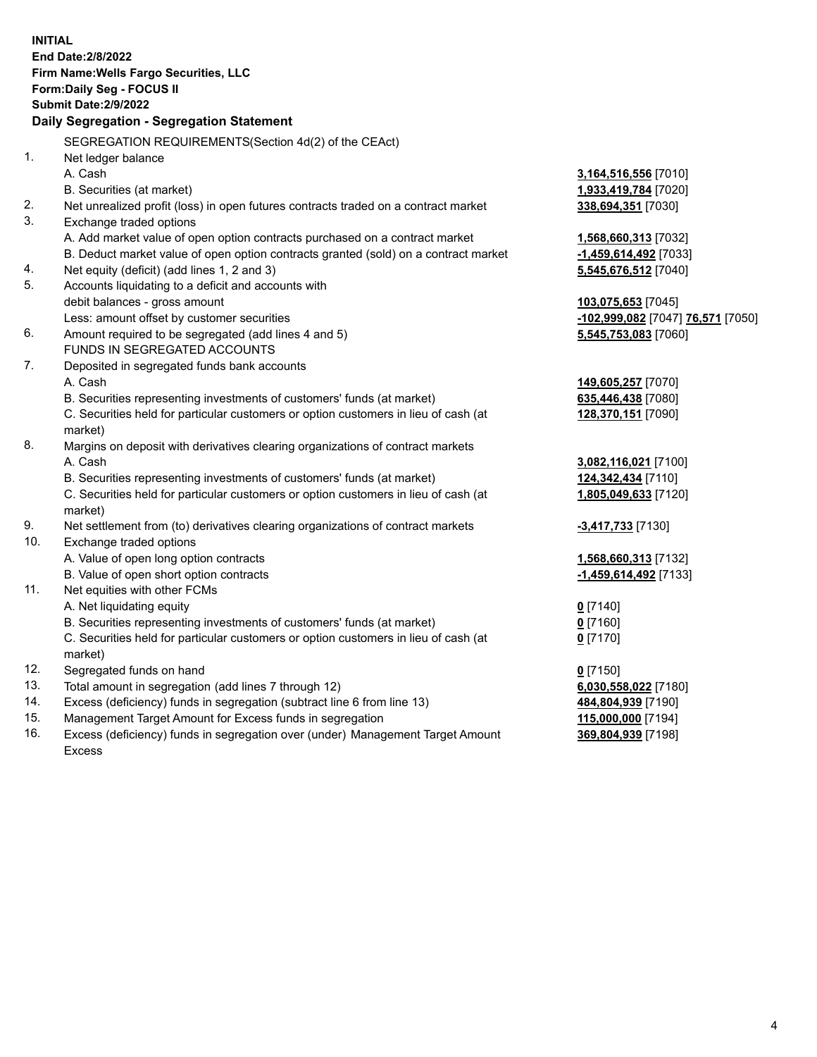|            | <b>INITIAL</b><br>End Date: 2/8/2022<br>Firm Name: Wells Fargo Securities, LLC<br>Form: Daily Seg - FOCUS II<br><b>Submit Date: 2/9/2022</b><br>Daily Segregation - Segregation Statement                                                                             |                                                                       |
|------------|-----------------------------------------------------------------------------------------------------------------------------------------------------------------------------------------------------------------------------------------------------------------------|-----------------------------------------------------------------------|
|            | SEGREGATION REQUIREMENTS(Section 4d(2) of the CEAct)                                                                                                                                                                                                                  |                                                                       |
| 1.         | Net ledger balance<br>A. Cash<br>B. Securities (at market)                                                                                                                                                                                                            | 3,164,516,556 [7010]<br>1,933,419,784 [7020]                          |
| 2.<br>3.   | Net unrealized profit (loss) in open futures contracts traded on a contract market<br>Exchange traded options                                                                                                                                                         | 338,694,351 [7030]                                                    |
| 4.         | A. Add market value of open option contracts purchased on a contract market<br>B. Deduct market value of open option contracts granted (sold) on a contract market<br>Net equity (deficit) (add lines 1, 2 and 3)                                                     | 1,568,660,313 [7032]<br>-1,459,614,492 [7033]<br>5,545,676,512 [7040] |
| 5.         | Accounts liquidating to a deficit and accounts with<br>debit balances - gross amount<br>Less: amount offset by customer securities                                                                                                                                    | 103,075,653 [7045]<br>-102,999,082 [7047] 76,571 [7050]               |
| 6.         | Amount required to be segregated (add lines 4 and 5)<br>FUNDS IN SEGREGATED ACCOUNTS                                                                                                                                                                                  | 5,545,753,083 [7060]                                                  |
| 7.         | Deposited in segregated funds bank accounts<br>A. Cash<br>B. Securities representing investments of customers' funds (at market)<br>C. Securities held for particular customers or option customers in lieu of cash (at<br>market)                                    | 149,605,257 [7070]<br>635,446,438 [7080]<br>128,370,151 [7090]        |
| 8.         | Margins on deposit with derivatives clearing organizations of contract markets<br>A. Cash<br>B. Securities representing investments of customers' funds (at market)<br>C. Securities held for particular customers or option customers in lieu of cash (at<br>market) | 3,082,116,021 [7100]<br>124,342,434 [7110]<br>1,805,049,633 [7120]    |
| 9.<br>10.  | Net settlement from (to) derivatives clearing organizations of contract markets<br>Exchange traded options                                                                                                                                                            | -3,417,733 [7130]                                                     |
| 11.        | A. Value of open long option contracts<br>B. Value of open short option contracts<br>Net equities with other FCMs                                                                                                                                                     | 1,568,660,313 [7132]<br>-1,459,614,492 [7133]                         |
|            | A. Net liquidating equity<br>B. Securities representing investments of customers' funds (at market)<br>C. Securities held for particular customers or option customers in lieu of cash (at<br>market)                                                                 | $0$ [7140]<br>$0$ [7160]<br>$0$ [7170]                                |
| 12.        | Segregated funds on hand                                                                                                                                                                                                                                              | $0$ [7150]                                                            |
| 13.        | Total amount in segregation (add lines 7 through 12)                                                                                                                                                                                                                  | 6,030,558,022 [7180]                                                  |
| 14.        | Excess (deficiency) funds in segregation (subtract line 6 from line 13)                                                                                                                                                                                               | 484,804,939 [7190]                                                    |
| 15.<br>16. | Management Target Amount for Excess funds in segregation<br>Excess (deficiency) funds in segregation over (under) Management Target Amount<br>Excess                                                                                                                  | 115,000,000 [7194]<br>369,804,939 [7198]                              |